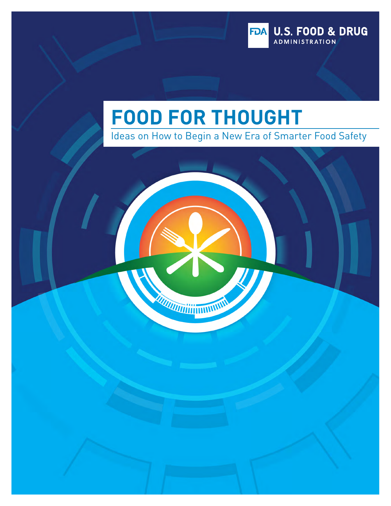

# **FOOD FOR THOUGHT**

MANITED SHIPPING

Ideas on How to Begin a New Era of Smarter Food Safety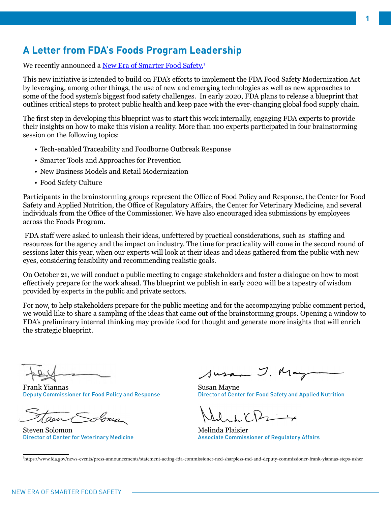# **A Letter from FDA's Foods Program Leadership**

We recently announced a <u>[New Era of Smarter Food Safety.](https://www.fda.gov/news-events/press-announcements/statement-acting-fda-commissioner-ned-sharpless-md-and-deputy-commissioner-frank-yiannas-steps-usher)</u><del>'</del>

This new initiative is intended to build on FDA's efforts to implement the FDA Food Safety Modernization Act by leveraging, among other things, the use of new and emerging technologies as well as new approaches to some of the food system's biggest food safety challenges. In early 2020, FDA plans to release a blueprint that outlines critical steps to protect public health and keep pace with the ever-changing global food supply chain.

The first step in developing this blueprint was to start this work internally, engaging FDA experts to provide their insights on how to make this vision a reality. More than 100 experts participated in four brainstorming session on the following topics:

- Tech-enabled Traceability and Foodborne Outbreak Response
- Smarter Tools and Approaches for Prevention
- New Business Models and Retail Modernization
- Food Safety Culture

Participants in the brainstorming groups represent the Office of Food Policy and Response, the Center for Food Safety and Applied Nutrition, the Office of Regulatory Affairs, the Center for Veterinary Medicine, and several individuals from the Office of the Commissioner. We have also encouraged idea submissions by employees across the Foods Program.

 FDA staff were asked to unleash their ideas, unfettered by practical considerations, such as staffing and resources for the agency and the impact on industry. The time for practicality will come in the second round of sessions later this year, when our experts will look at their ideas and ideas gathered from the public with new eyes, considering feasibility and recommending realistic goals.

On October 21, we will conduct a public meeting to engage stakeholders and foster a dialogue on how to most effectively prepare for the work ahead. The blueprint we publish in early 2020 will be a tapestry of wisdom provided by experts in the public and private sectors.

For now, to help stakeholders prepare for the public meeting and for the accompanying public comment period, we would like to share a sampling of the ideas that came out of the brainstorming groups. Opening a window to FDA's preliminary internal thinking may provide food for thought and generate more insights that will enrich the strategic blueprint.

Frank Yiannas Deputy Commissioner for Food Policy and Response

Steven Solomon Director of Center for Veterinary Medicine

Susan J. May

Susan Mayne Director of Center for Food Safety and Applied Nutrition

 $\mathbf{v} \in \mathbb{R}$ 

Melinda Plaisier Associate Commissioner of Regulatory Affairs

1 https://www.fda.gov/news-events/press-announcements/statement-acting-fda-commissioner-ned-sharpless-md-and-deputy-commissioner-frank-yiannas-steps-usher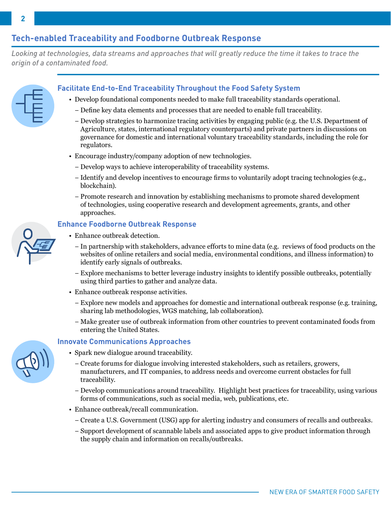# **Tech-enabled Traceability and Foodborne Outbreak Response**

*Looking at technologies, data streams and approaches that will greatly reduce the time it takes to trace the origin of a contaminated food.*

#### **Facilitate End-to-End Traceability Throughout the Food Safety System**

- Develop foundational components needed to make full traceability standards operational.
	- − Define key data elements and processes that are needed to enable full traceability.
	- − Develop strategies to harmonize tracing activities by engaging public (e.g. the U.S. Department of Agriculture, states, international regulatory counterparts) and private partners in discussions on governance for domestic and international voluntary traceability standards, including the role for regulators.
- Encourage industry/company adoption of new technologies.
	- − Develop ways to achieve interoperability of traceability systems.
	- − Identify and develop incentives to encourage firms to voluntarily adopt tracing technologies (e.g., blockchain).
	- − Promote research and innovation by establishing mechanisms to promote shared development of technologies, using cooperative research and development agreements, grants, and other approaches.

#### **Enhance Foodborne Outbreak Response**

- Enhance outbreak detection.
	- − In partnership with stakeholders, advance efforts to mine data (e.g. reviews of food products on the websites of online retailers and social media, environmental conditions, and illness information) to identify early signals of outbreaks.
	- − Explore mechanisms to better leverage industry insights to identify possible outbreaks, potentially using third parties to gather and analyze data.
- Enhance outbreak response activities.
	- − Explore new models and approaches for domestic and international outbreak response (e.g. training, sharing lab methodologies, WGS matching, lab collaboration).
	- − Make greater use of outbreak information from other countries to prevent contaminated foods from entering the United States.

#### **Innovate Communications Approaches**

- Spark new dialogue around traceability.
	- − Create forums for dialogue involving interested stakeholders, such as retailers, growers, manufacturers, and IT companies, to address needs and overcome current obstacles for full traceability.
	- − Develop communications around traceability. Highlight best practices for traceability, using various forms of communications, such as social media, web, publications, etc.
- Enhance outbreak/recall communication.
	- − Create a U.S. Government (USG) app for alerting industry and consumers of recalls and outbreaks.
	- − Support development of scannable labels and associated apps to give product information through the supply chain and information on recalls/outbreaks.

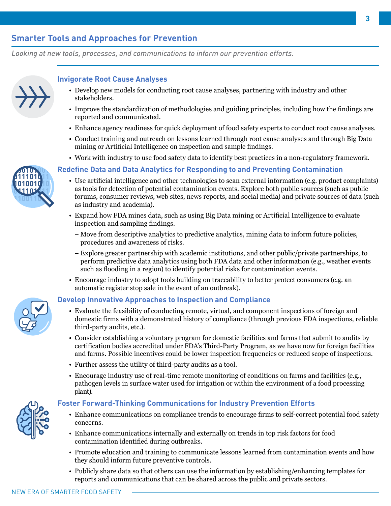# **Smarter Tools and Approaches for Prevention**

*Looking at new tools, processes, and communications to inform our prevention efforts.*



**0100101001 011101011 1010010 1011101011**

#### **Invigorate Root Cause Analyses**

- Develop new models for conducting root cause analyses, partnering with industry and other stakeholders.
- Improve the standardization of methodologies and guiding principles, including how the findings are reported and communicated.
- Enhance agency readiness for quick deployment of food safety experts to conduct root cause analyses.
- Conduct training and outreach on lessons learned through root cause analyses and through Big Data mining or Artificial Intelligence on inspection and sample findings.
- Work with industry to use food safety data to identify best practices in a non-regulatory framework.

#### **Redefine Data and Data Analytics for Responding to and Preventing Contamination**

- Use artificial intelligence and other technologies to scan external information (e.g. product complaints) as tools for detection of potential contamination events. Explore both public sources (such as public forums, consumer reviews, web sites, news reports, and social media) and private sources of data (such as industry and academia).
- Expand how FDA mines data, such as using Big Data mining or Artificial Intelligence to evaluate inspection and sampling findings.
	- − Move from descriptive analytics to predictive analytics, mining data to inform future policies, procedures and awareness of risks.
	- − Explore greater partnership with academic institutions, and other public/private partnerships, to perform predictive data analytics using both FDA data and other information (e.g., weather events such as flooding in a region) to identify potential risks for contamination events.
- Encourage industry to adopt tools building on traceability to better protect consumers (e.g. an automatic register stop sale in the event of an outbreak).

#### **Develop Innovative Approaches to Inspection and Compliance**

- Evaluate the feasibility of conducting remote, virtual, and component inspections of foreign and domestic firms with a demonstrated history of compliance (through previous FDA inspections, reliable third-party audits, etc.).
- Consider establishing a voluntary program for domestic facilities and farms that submit to audits by certification bodies accredited under FDA's Third-Party Program, as we have now for foreign facilities and farms. Possible incentives could be lower inspection frequencies or reduced scope of inspections.
- Further assess the utility of third-party audits as a tool.
- Encourage industry use of real-time remote monitoring of conditions on farms and facilities (e.g., pathogen levels in surface water used for irrigation or within the environment of a food processing plant).

#### **Foster Forward-Thinking Communications for Industry Prevention Efforts**

- Enhance communications on compliance trends to encourage firms to self-correct potential food safety concerns.
- Enhance communications internally and externally on trends in top risk factors for food contamination identified during outbreaks.
- Promote education and training to communicate lessons learned from contamination events and how they should inform future preventive controls.
- Publicly share data so that others can use the information by establishing/enhancing templates for reports and communications that can be shared across the public and private sectors.





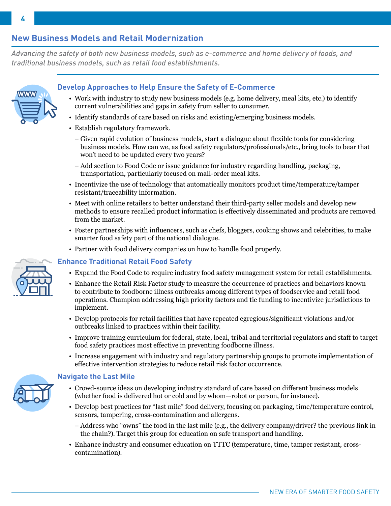#### current vulnerabilities and gaps in safety from seller to consumer.

- Identify standards of care based on risks and existing/emerging business models.
- Establish regulatory framework.
	- − Given rapid evolution of business models, start a dialogue about flexible tools for considering business models. How can we, as food safety regulators/professionals/etc., bring tools to bear that won't need to be updated every two years?
	- − Add section to Food Code or issue guidance for industry regarding handling, packaging, transportation, particularly focused on mail-order meal kits.
- Incentivize the use of technology that automatically monitors product time/temperature/tamper resistant/traceability information.
- Meet with online retailers to better understand their third-party seller models and develop new methods to ensure recalled product information is effectively disseminated and products are removed from the market.
- Foster partnerships with influencers, such as chefs, bloggers, cooking shows and celebrities, to make smarter food safety part of the national dialogue.
- Partner with food delivery companies on how to handle food properly.

#### **Enhance Traditional Retail Food Safety**

- Expand the Food Code to require industry food safety management system for retail establishments.
- Enhance the Retail Risk Factor study to measure the occurrence of practices and behaviors known to contribute to foodborne illness outbreaks among different types of foodservice and retail food operations. Champion addressing high priority factors and tie funding to incentivize jurisdictions to implement.
- Develop protocols for retail facilities that have repeated egregious/significant violations and/or outbreaks linked to practices within their facility.
- Improve training curriculum for federal, state, local, tribal and territorial regulators and staff to target food safety practices most effective in preventing foodborne illness.
- Increase engagement with industry and regulatory partnership groups to promote implementation of effective intervention strategies to reduce retail risk factor occurrence.

#### **Navigate the Last Mile**

- Crowd-source ideas on developing industry standard of care based on different business models (whether food is delivered hot or cold and by whom—robot or person, for instance).
- Develop best practices for "last mile" food delivery, focusing on packaging, time/temperature control, sensors, tampering, cross-contamination and allergens.
	- − Address who "owns" the food in the last mile (e.g., the delivery company/driver? the previous link in the chain?). Target this group for education on safe transport and handling.
- Enhance industry and consumer education on TTTC (temperature, time, tamper resistant, crosscontamination).





# **Develop Approaches to Help Ensure the Safety of E-Commerce** • Work with industry to study new business models (e.g. home delivery, meal kits, etc.) to identify **WWW**

**4**

## **New Business Models and Retail Modernization**

*traditional business models, such as retail food establishments.* 

*Advancing the safety of both new business models, such as e-commerce and home delivery of foods, and*